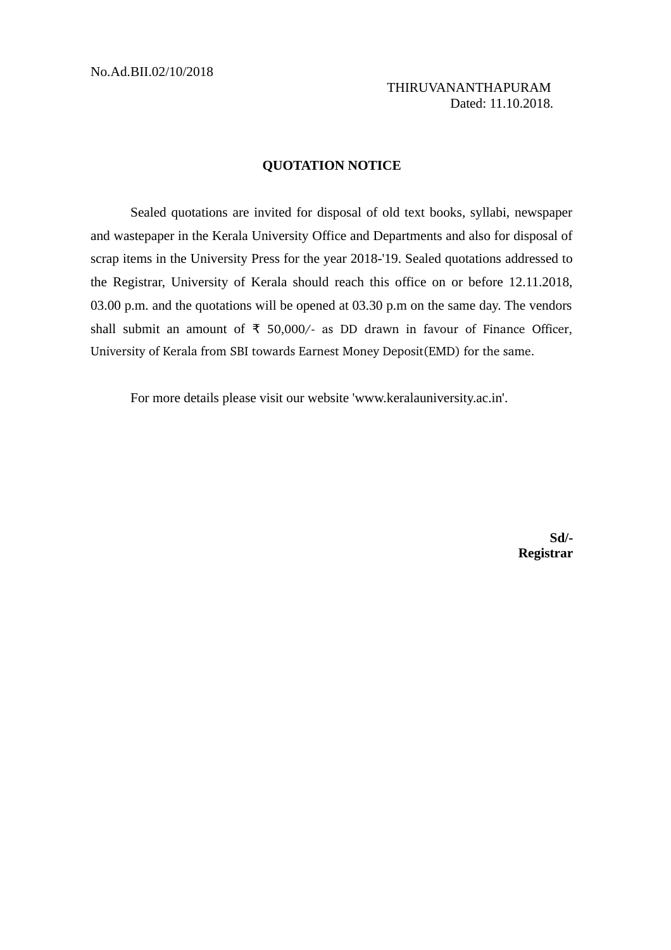## **QUOTATION NOTICE**

Sealed quotations are invited for disposal of old text books, syllabi, newspaper and wastepaper in the Kerala University Office and Departments and also for disposal of scrap items in the University Press for the year 2018-'19. Sealed quotations addressed to the Registrar, University of Kerala should reach this office on or before 12.11.2018, 03.00 p.m. and the quotations will be opened at 03.30 p.m on the same day. The vendors shall submit an amount of ₹ 50,000/- as DD drawn in favour of Finance Officer, University of Kerala from SBI towards Earnest Money Deposit(EMD) for the same.

For more details please visit our website 'www.keralauniversity.ac.in'.

**Sd/- Registrar**